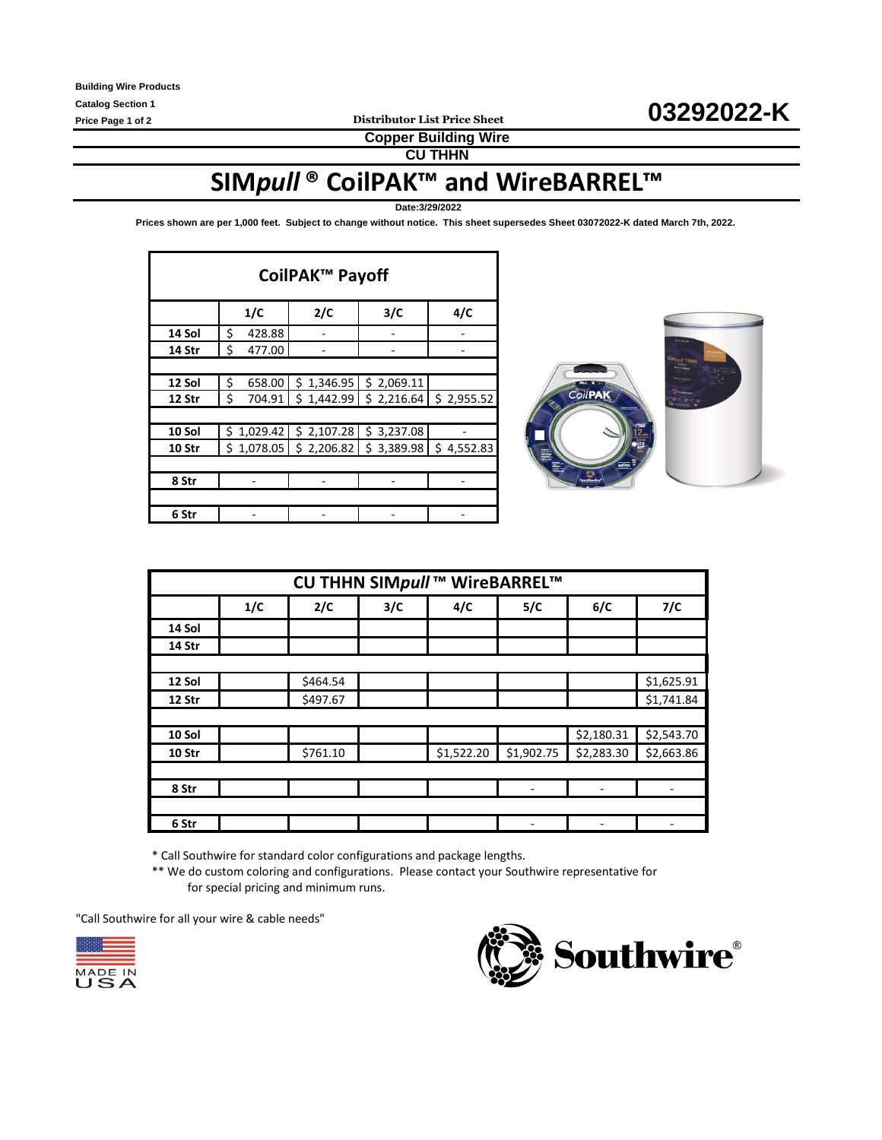**Copper Building Wire**

**CU THHN**

# **SIM***pull* **® CoilPAK™ and WireBARREL™**

**Date:3/29/2022**

**Prices shown are per 1,000 feet. Subject to change without notice. This sheet supersedes Sheet 03072022-K dated March 7th, 2022.** 

| CoilPAK <sup>™</sup> Payoff |              |                                     |            |            |  |  |  |  |  |  |
|-----------------------------|--------------|-------------------------------------|------------|------------|--|--|--|--|--|--|
|                             | 1/C          | 2/C                                 | 3/C        | 4/C        |  |  |  |  |  |  |
| 14 Sol                      | \$<br>428.88 |                                     |            |            |  |  |  |  |  |  |
| 14 Str                      | \$<br>477.00 |                                     |            |            |  |  |  |  |  |  |
|                             |              |                                     |            |            |  |  |  |  |  |  |
| 12 Sol                      | \$<br>658.00 | \$1,346.95                          | \$2,069.11 |            |  |  |  |  |  |  |
| 12 Str                      | \$<br>704.91 | \$1,442.99                          | \$2,216.64 | \$2,955.52 |  |  |  |  |  |  |
|                             |              |                                     |            |            |  |  |  |  |  |  |
| 10 Sol                      | \$1,029.42   | \$2,107.28                          | \$3,237.08 |            |  |  |  |  |  |  |
| 10 Str                      |              | $$1,078.05$ $$2,206.82$ $$3,389.98$ |            | \$4,552.83 |  |  |  |  |  |  |
|                             |              |                                     |            |            |  |  |  |  |  |  |
| 8 Str                       |              |                                     |            |            |  |  |  |  |  |  |
|                             |              |                                     |            |            |  |  |  |  |  |  |
| 6 Str                       |              |                                     |            |            |  |  |  |  |  |  |



| CU THHN SIMpull ™ WireBARREL™ |     |          |     |            |            |            |            |  |  |
|-------------------------------|-----|----------|-----|------------|------------|------------|------------|--|--|
|                               | 1/C | 2/C      | 3/C | 4/C        | 5/C        | 6/C        | 7/C        |  |  |
| 14 Sol                        |     |          |     |            |            |            |            |  |  |
| 14 Str                        |     |          |     |            |            |            |            |  |  |
|                               |     |          |     |            |            |            |            |  |  |
| 12 Sol                        |     | \$464.54 |     |            |            |            | \$1,625.91 |  |  |
| 12 Str                        |     | \$497.67 |     |            |            |            | \$1,741.84 |  |  |
|                               |     |          |     |            |            |            |            |  |  |
| 10 Sol                        |     |          |     |            |            | \$2,180.31 | \$2,543.70 |  |  |
| 10 Str                        |     | \$761.10 |     | \$1,522.20 | \$1,902.75 | \$2,283.30 | \$2,663.86 |  |  |
|                               |     |          |     |            |            |            |            |  |  |
| 8 Str                         |     |          |     |            | ٠          | ٠          |            |  |  |
|                               |     |          |     |            |            |            |            |  |  |
| 6 Str                         |     |          |     |            |            |            |            |  |  |

\* Call Southwire for standard color configurations and package lengths.

\*\* We do custom coloring and configurations. Please contact your Southwire representative for for special pricing and minimum runs.

"Call Southwire for all your wire & cable needs"